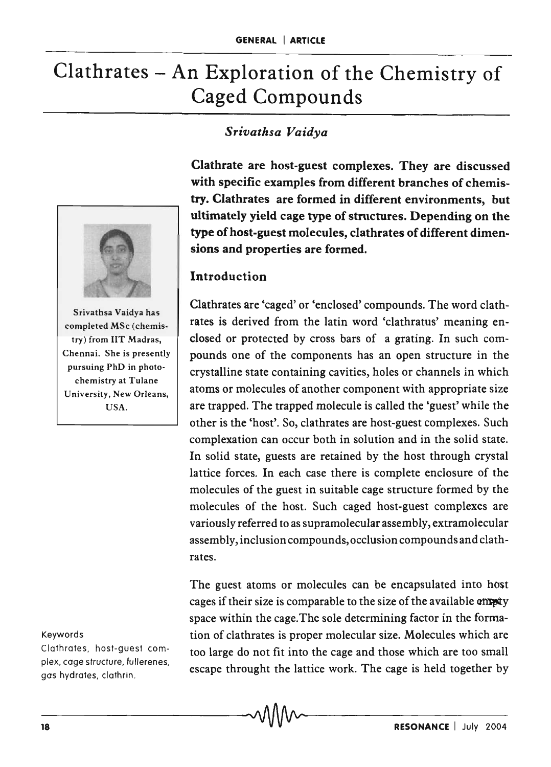# Clathrates - An Exploration of the Chemistry of Caged Compounds

## *Srivathsa Vaidya*

Clathrate are host-guest complexes. They are discussed with specific examples from different branches of chemistry. Clathrates are formed in different environments, but ultimately yield cage type of structures. Depending on the type of host-guest molecules, clathrates of different dimensions and properties are formed.

#### **Introduction**

Clathrates are 'caged' or 'enclosed' compounds. The word clathrates is derived from the latin word 'clathratus' meaning enclosed or protected by cross bars of a grating. In such compounds one of the components has an open structure in the crystalline state containing cavities, holes or channels in which atoms or molecules of another component with appropriate size are trapped. The trapped molecule is called the 'guest' while the other is the 'host'. So, clathrates are host-guest complexes. Such complexation can occur both in solution and in the solid state. In solid state, guests are retained by the host through crystal lattice forces. In each case there is complete enclosure of the molecules of the guest in suitable cage structure formed by the molecules of the host. Such caged host-guest complexes are variously referred to as supramolecular assembly, extramolecular assembly, inclusion compounds, occlusion compounds and clathrates.

The guest atoms or molecules can be encapsulated into host cages if their size is comparable to the size of the available empty space within the cage. The sole determining factor in the formation of clathrates is proper molecular size. Molecules which are too large do not fit into the cage and those which are too small escape throught the lattice work. The cage is held together by



Srivathsa Vaidya has completed MSc (chemistry) from liT Madras, Chennai. She is presently pursuing PhD in photochemistry at Tulane University, New Orleans, USA.

#### Keywords

Clathrates, host-guest complex, cage structure, fullerenes, gas hydrates, clathrin.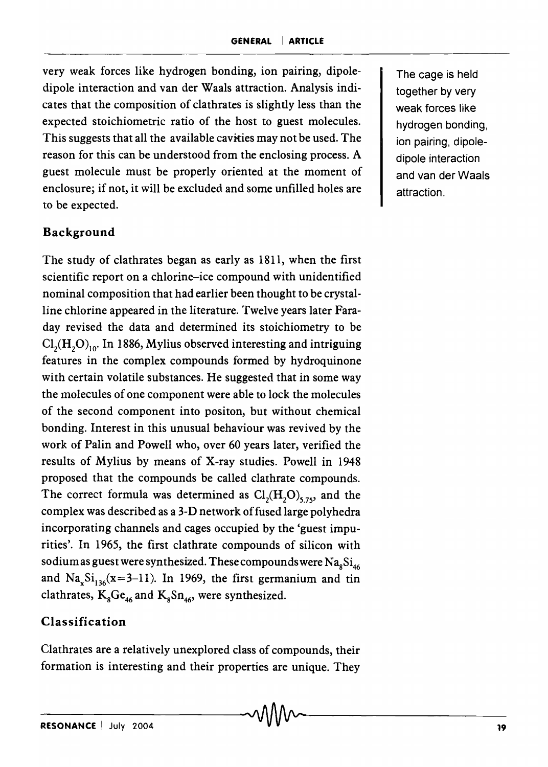very weak forces like hydrogen bonding, ion pairing, dipoledipole interaction and van der Waals attraction. Analysis indicates that the composition of clathrates is slightly less than the expected stoichiometric ratio of the host to guest molecules. This suggests that all the available cavities may not be used. The reason for this can be understood from the enclosing process. A guest molecule must be properly oriented at the moment of enclosure; if not, it will be excluded and some unfilled holes are to be expected.

#### Background

The study of clathrates began as early as 1811, when the first scientific report on a chlorine-ice compound with unidentified nominal composition that had earlier been thought to be crystalline chlorine appeared in the literature. Twelve years later Faraday revised the data and determined its stoichiometry to be  $Cl<sub>2</sub>(H<sub>2</sub>O)<sub>10</sub>$ . In 1886, Mylius observed interesting and intriguing features in the complex compounds formed by hydroquinone with certain volatile substances. He suggested that in some way the molecules of one component were able to lock the molecules of the second component into positon, but without chemical bonding. Interest in this unusual behaviour was revived by the work of Palin and Powell who, over 60 years later, verified the results of Mylius by means of X-ray studies. Powell in 1948 proposed that the compounds be called clathrate compounds. The correct formula was determined as  $Cl<sub>2</sub>(H<sub>2</sub>O)<sub>575</sub>$ , and the complex was described as a 3-D network of fused large polyhedra incorporating channels and cages occupied by the 'guest impurities'. In 1965, the first clathrate compounds of silicon with sodium as guest were synthesized. These compounds were  $\text{Na}_s\text{Si}_{46}$ and  $Na<sub>x</sub>Si<sub>136</sub>(x=3-11)$ . In 1969, the first germanium and tin clathrates,  $K_8Ge_{46}$  and  $K_8Sn_{46}$ , were synthesized.

#### Classification

Clathrates are a relatively unexplored class of compounds, their formation is interesting and their properties are unique. They

The cage is held together by very weak forces like hydrogen bonding, ion pairing, dipoledipole interaction and van der Waals attraction.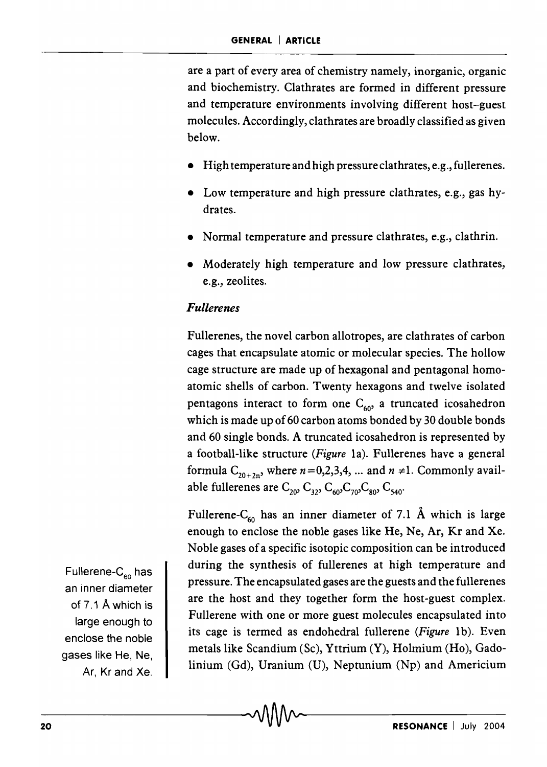are a part of every area of chemistry namely, inorganic, organic and biochemistry. Clathrates are formed in different pressure and temperature environments involving different host-guest molecules. Accordingly, clathrates are broadly classified as given below.

- High temperature and high pressure clathrates, e.g., fullerenes.
- Low temperature and high pressure clathrates, e.g., gas hydrates.
- Normal temperature and pressure clathrates, e.g., clathrin.
- Moderately high temperature and low pressure clathrates, e.g., zeolites.

#### *Fullerenes*

Fullerenes, the novel carbon allotropes, are clathrates of carbon cages that encapsulate atomic or molecular species. The hollow cage structure are made up of hexagonal and pentagonal homoatomic shells of carbon. Twenty hexagons and twelve isolated pentagons interact to form one  $C_{60}$ , a truncated icosahedron which is made up of 60 carbon atoms bonded by 30 double bonds and 60 single bonds. A truncated icosahedron is represented by a football-like structure *(Figure* 1a). Fullerenes have a general formula  $C_{20+2n}$ , where  $n=0,2,3,4, ...$  and  $n \neq 1$ . Commonly available fullerenes are  $C_{20}$ ,  $C_{32}$ ,  $C_{60}$ ,  $C_{70}$ ,  $C_{80}$ ,  $C_{540}$ .

Fullerene-C<sub>60</sub> has an inner diameter of 7.1 Å which is large enough to enclose the noble gases like He, Ne, Ar, Kr and Xe. Noble gases of a specific isotopic composition can be introduced during the synthesis of fullerenes at high temperature and pressure. The encapsulated gases are the guests and the fullerenes are the host and they together form the host-guest complex. Fullerene with one or more guest molecules encapsulated into its cage is termed as endohedral fullerene *(Figure 1b)*. Even metals like Scandium (Sc), Yttrium (Y), Holmium (Ho), Gadolinium (Gd), Uranium (U), Neptunium (Np) and Americium

Fullerene- $C_{60}$  has an inner diameter of 7.1 A which is large enough to enclose the noble gases like He, Ne, Ar, Kr and Xe.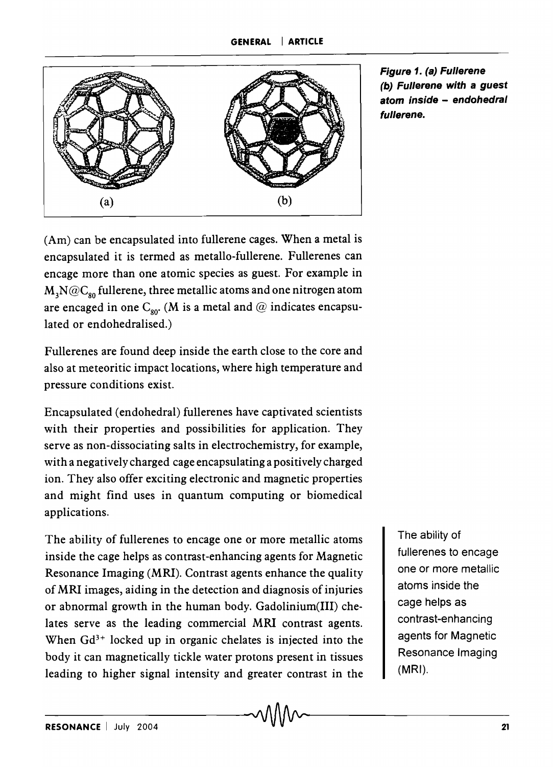

Figure 1. (a) Fullerene (b) Fullerene with a guest atom inside - endohedral fullerene.

(Am) can be encapsulated into fullerene cages. When a metal is encapsulated it is termed as metallo-fullerene. Fullerenes can en cage more than one atomic species as guest. For example in  $\text{M}_\text{\tiny 3}\text{N@C}_{\text{\tiny 80}}$  fullerene, three metallic atoms and one nitrogen atom are encaged in one  $C_{\text{so}}$ . (M is a metal and @ indicates encapsulated or endohedralised.)

Fullerenes are found deep inside the earth close to the core and also at meteoritic impact locations, where high temperature and pressure conditions exist.

Encapsulated (endohedral) fullerenes have captivated scientists with their properties and possibilities for application. They serve as non-dissociating salts in electrochemistry, for example, with a negatively charged cage encapsulating a positively charged ion. They also offer exciting electronic and magnetic properties and might find uses in quantum computing or biomedical applications.

The ability of fullerenes to encage one or more metallic atoms inside the cage helps as contrast-enhancing agents for Magnetic Resonance Imaging (MRI). Contrast agents enhance the quality of MRI images, aiding in the detection and diagnosis of injuries or abnormal growth in the human body. Gadolinium(III) chelates serve as the leading commercial MRI contrast agents. When  $Gd^{3+}$  locked up in organic chelates is injected into the body it can magnetically tickle water protons present in tissues leading to higher signal intensity and greater contrast in the body it can magnetically tickle water protons present in tissues<br>leading to higher signal intensity and greater contrast in the (MRI).<br> $M$ 

The ability of fullerenes to encage one or more metallic atoms inside the cage helps as contrast-enhancing agents for Magnetic Resonance Imaging (MRI).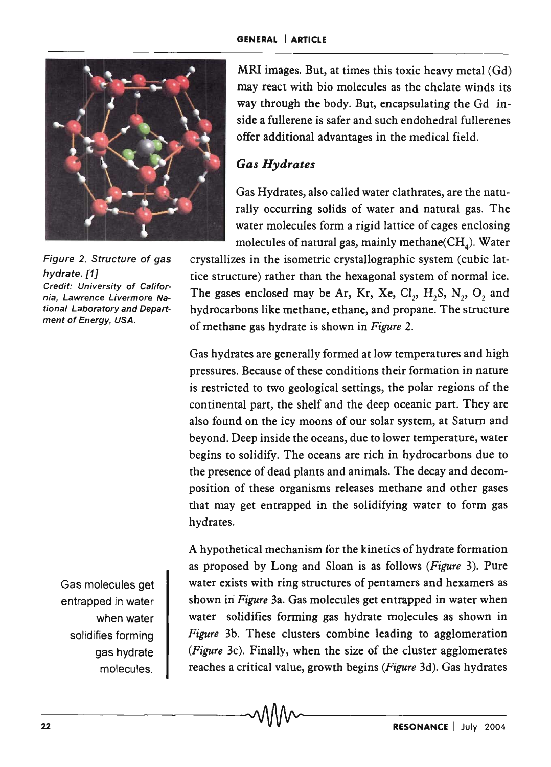

Figure 2. Structure of gas hydrate. [1J Credit: University of California, Lawrence Livermore National Laboratory and Department of Energy, USA.

> Gas molecules get entrapped in water when water solidifies forming gas hydrate molecules.

MRI images. But, at times this toxic heavy metal (Gd) may react with bio molecules as the chelate winds its way through the body. But, encapsulating the Gd inside a fullerene is safer and such endohedral fullerenes offer additional advantages in the medical field.

## *Gas Hydrates*

Gas Hydrates, also called water clathrates, are the naturally occurring solids of water and natural gas. The water molecules form a rigid lattice of cages enclosing molecules of natural gas, mainly methane  $(CH<sub>4</sub>)$ . Water

crystallizes in the isometric crystallographic system (cubic lattice structure) rather than the hexagonal system of normal ice. The gases enclosed may be Ar, Kr, Xe,  $Cl_2$ ,  $H_2S$ ,  $N_2$ ,  $O_2$  and hydrocarbons like methane, ethane, and propane. The structure of methane gas hydrate is shown in *Figure 2.* 

Gas hydrates are generally formed at low temperatures and high pressures. Because of these conditions their formation in nature is restricted to two geological settings, the polar regions of the continental part, the shelf and the deep oceanic part. They are also found on the icy moons of our solar system, at Saturn and beyond. Deep inside the oceans, due to lower temperature, water begins to solidify. The oceans are rich in hydrocarbons due to the presence of dead plants and animals. The decay and decomposition of these organisms releases methane and other gases that may get entrapped in the solidifying water to form gas hydrates.

A hypothetical mechanism for the kinetics of hydrate formation as proposed by Long and Sloan is as follows *(Figure* 3). Pure water exists with ring structures of pentamers and hexamers as shown in *Figure* 3a. Gas molecules get entrapped in water when water solidifies forming gas hydrate molecules as shown in *Figure* 3b. These clusters combine leading to agglomeration *(Figure* 3c). Finally, when the size of the cluster agglomerates reaches a critical value, growth begins *(Figure* 3d). Gas hydrates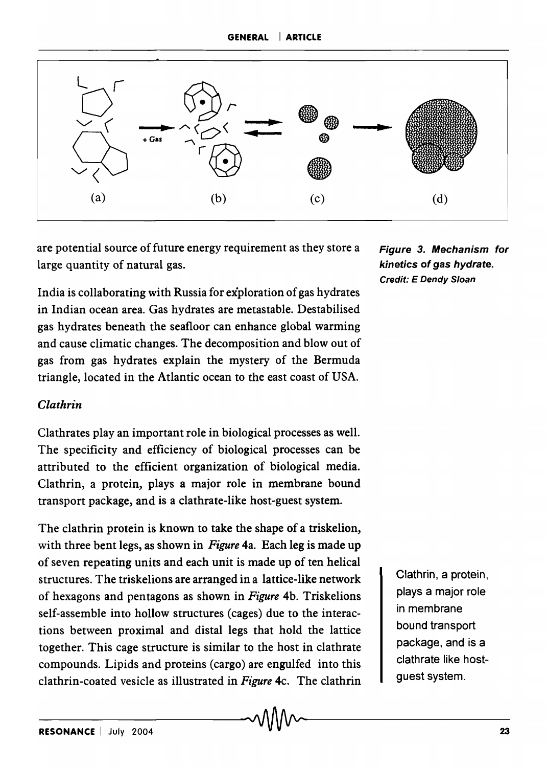

are potential source of future energy requirement as they store a Figure 3. Mechanism for large quantity of natural gas. The same state of gas hydrate.

India is collaborating with Russia for exploration of gas hydrates in Indian ocean area. Gas hydrates are metastable. Destabilised gas hydrates beneath the seafloor can enhance global warming and cause climatic changes. The decomposition and blowout of gas from gas hydrates explain the mystery of the Bermuda triangle, located in the Atlantic ocean to the east coast of USA.

#### *Clathrin*

Clathrates play an important role in biological processes as well. The specificity and efficiency of biological processes can be attributed to the efficient organization of biological media. Clathrin, a protein, plays a major role in membrane bound transport package, and is a clathrate-like host-guest system.

The clathrin protein is known to take the shape of a triskelion, with three bent legs, as shown in *Figure* 4a. Each leg is made up of seven repeating units and each unit is made up of ten helical structures. The triskelions are arranged in a lattice-like network of hexagons and pentagons as shown in *Figure* 4b. Triskelions self-assemble into hollow structures (cages) due to the interactions between proximal and distal legs that hold the lattice together. This cage structure is similar to the host in clathrate compounds. Lipids and proteins (cargo) are engulfed into this clathrin-coated vesicle as illustrated in *Figure* 4c. The c1athrin Credit: E Dendy Sloan

Clathrin, a protein, plays a major role in membrane bound transport package, and is a clathrate like hostguest system.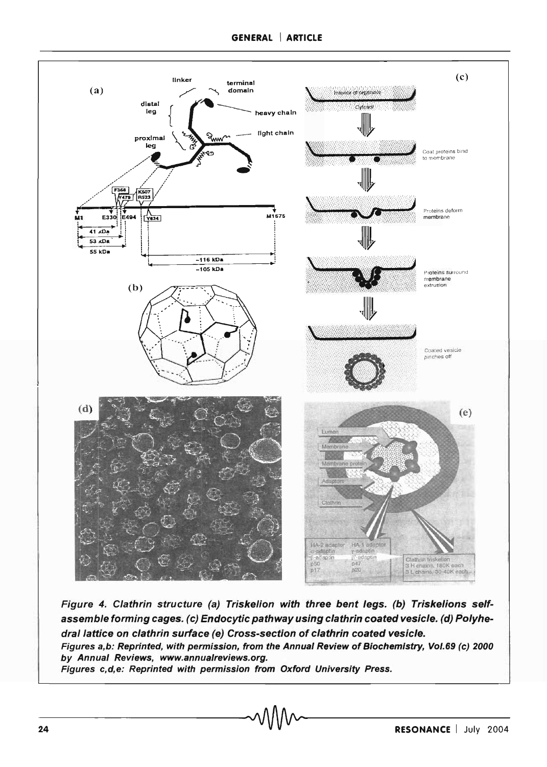

Figure 4. Clathrin structure (a) Triskelion with three bent legs. (b) Triskelions selfassemble forming cages. (c) Endocytic pathway using clathrin coated vesicle. (d) Polyhedral lattice on clathrin surface (e) Cross-section of clathrin coated vesicle. Figures a,b: Reprinted, with permission, from the Annual Review of Biochemistry, Vol.69 (c) 2000 by Annual Reviews, www.annualreviews.org. Figures c,d,e: Reprinted with permission from Oxford University Press.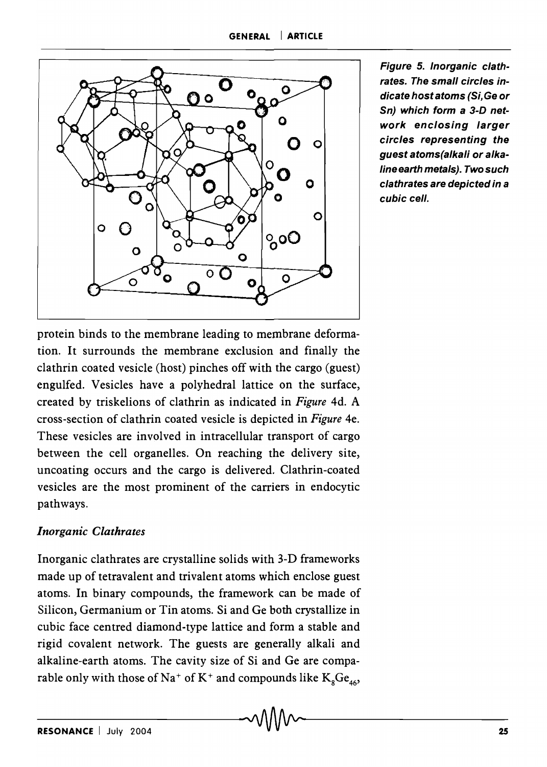

Figure 5. Inorganic clathrates. The small circles indicate host atoms (Si, Ge or Sn) which form a 3-D network enclosing larger circles representing the guest atoms(alkali or alkaline earth metals}. Two such clathrates are depicted in a cubic cell.

protein binds to the membrane leading to membrane deformation. It surrounds the membrane exclusion and finally the clathrin coated vesicle (host) pinches off with the cargo (guest) engulfed. Vesicles have a polyhedral lattice on the surface, created by triskelions of clathrin as indicated in *Figure* 4d. A cross-section of clathrin coated vesicle is depicted in *Figure* 4e. These vesicles are involved in intracellular transport of cargo between the cell organelles. On reaching the delivery site, uncoating occurs and the cargo is delivered. Clathrin-coated vesicles are the most prominent of the carriers in endocytic pathways.

### *Inorganic Clathrates*

Inorganic clathrates are crystalline solids with 3-D frameworks made up of tetravalent and trivalent atoms which enclose guest atoms. In binary compounds, the framework can be made of Silicon, Germanium or Tin atoms. Si and Ge both crystallize in cubic face centred diamond-type lattice and form a stable and rigid covalent network. The guests are generally alkali and alkaline-earth atoms. The cavity size of Si and Ge are comparable only with those of Na<sup>+</sup> of K<sup>+</sup> and compounds like  $K_{s}Ge_{46}$ ,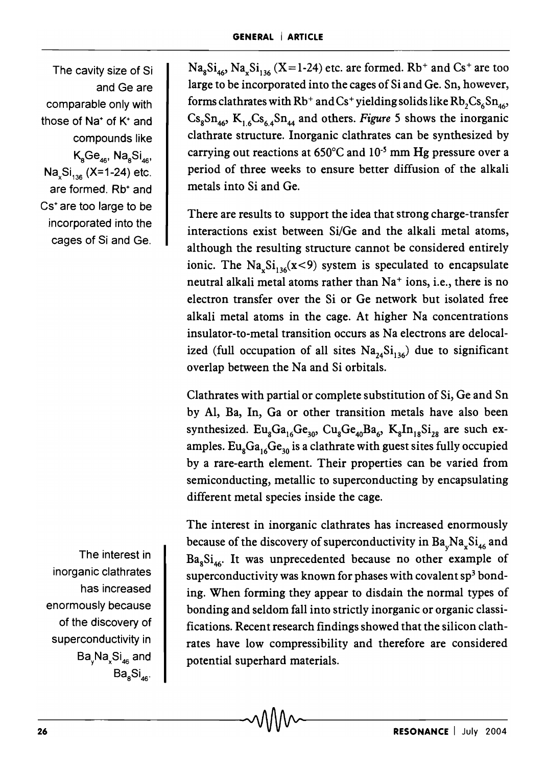The cavity size of Si and Ge are comparable only with those of Na<sup>+</sup> of K<sup>+</sup> and compounds like  $K_{a}Ge_{46}$ , Na $_{a}Si_{46}$ Na<sub>x</sub>Si<sub>136</sub> (X=1-24) etc. are formed. Rb<sup>+</sup> and Cs+ are too large to be incorporated into the cages of Si and Ge.

The interest in inorganic clathrates has increased enormously because of the discovery of superconductivity in Ba<sub>v</sub>Na<sub>x</sub>Si<sub>46</sub> and  $Ba<sub>a6</sub>$ 

 $\text{Na}_8\text{Si}_{46}$ ,  $\text{Na}_8\text{Si}_{136}$  (X=1-24) etc. are formed. Rb<sup>+</sup> and Cs<sup>+</sup> are too large to be incorporated into the cages of Si and Ge. Sn, however, forms clathrates with  $Rb^+$  and Cs<sup>+</sup> yielding solids like  $Rb$ ,  $Cs$ <sub>6</sub> $Sn$ <sub>46</sub>,  $Cs<sub>8</sub>Sn<sub>46</sub>$ ,  $K<sub>1.6</sub>Cs<sub>6.4</sub>Sn<sub>44</sub>$  and others. *Figure* 5 shows the inorganic clathrate structure. Inorganic clathrates can be synthesized by carrying out reactions at  $650^{\circ}$ C and  $10^{-5}$  mm Hg pressure over a period of three weeks to ensure better diffusion of the alkali metals into Si and Ge.

There are results to support the idea that strong charge-transfer interactions exist between Si/Ge and the alkali metal atoms, although the resulting structure cannot be considered entirely ionic. The  $\text{Na}_x\text{Si}_{136}(x<9)$  system is speculated to encapsulate neutral alkali metal atoms rather than Na<sup>+</sup> ions, i.e., there is no electron transfer over the Si or Ge network but isolated free alkali metal atoms in the cage. At higher Na concentrations insulator-to-metal transition occurs as Na electrons are delocalized (full occupation of all sites  $Na<sub>24</sub>Si<sub>136</sub>$ ) due to significant overlap between the Na and Si orbitals.

Clathrates with partial or complete substitution of Si, Ge and Sn by AI, Ba, In, Ga or other transition metals have also been synthesized.  $Eu_{s}Ga_{16}Ge_{30}$ ,  $Cu_{s}Ge_{40}Ba_{6}$ ,  $K_{8}In_{18}Si_{28}$  are such examples.  $Eu_{8}Ga_{16}Ge_{30}$  is a clathrate with guest sites fully occupied by a rare-earth element. Their properties can be varied from semiconducting, metallic to superconducting by encapsulating different metal species inside the cage.

The interest in inorganic clathrates has increased enormously because of the discovery of superconductivity in  $Ba_vNa_xSi_{46}$  and  $Ba<sub>8</sub>Si<sub>46</sub>$ . It was unprecedented because no other example of superconductivity was known for phases with covalent  $sp<sup>3</sup>$  bonding. When forming they appear to disdain the normal types of bonding and seldom fall into strictly inorganic or organic classifications. Recent research findings showed that the silicon clathrates have low compressibility and therefore are considered potential superhard materials.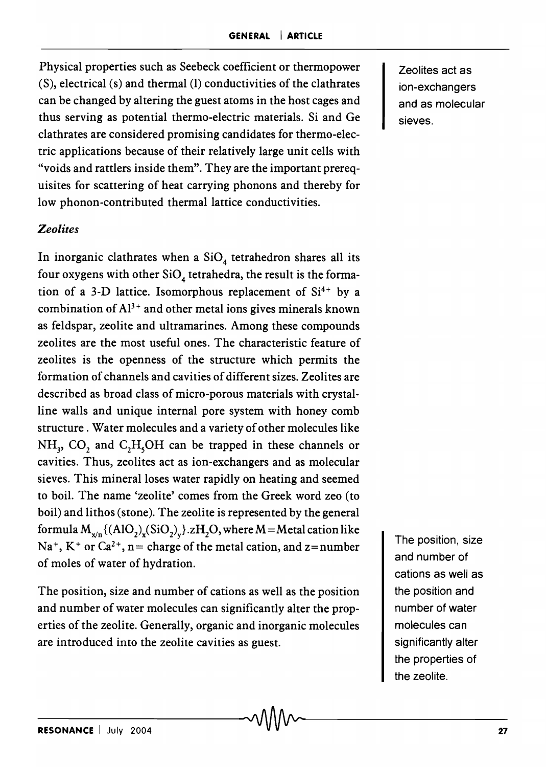Physical properties such as Seebeck coefficient or thermopower (S), electrical (s) and thermal (1) conductivities of the clathrates can be changed by altering the guest atoms in the host cages and thus serving as potential thermo-electric materials. Si and Ge clathrates are considered promising candidates for thermo-electric applications because of their relatively large unit cells with "voids and rattlers inside them". They are the important prerequisites for scattering of heat carrying phonons and thereby for low phonon-contributed thermal lattice conductivities.

#### *Zeolites*

In inorganic clathrates when a  $SiO<sub>4</sub>$  tetrahedron shares all its four oxygens with other  $SiO<sub>4</sub>$  tetrahedra, the result is the formation of a 3-D lattice. Isomorphous replacement of  $Si^{4+}$  by a combination of  $Al^{3+}$  and other metal ions gives minerals known as feldspar, zeolite and ultramarines. Among these compounds zeolites are the most useful ones. The characteristic feature of zeolites is the openness of the structure which permits the formation of channels and cavities of different sizes. Zeolites are described as broad class of micro-porous materials with crystalline walls and unique internal pore system with honey comb structure. Water molecules and a variety of other molecules like NH<sub>3</sub>, CO<sub>2</sub> and C<sub>2</sub>H<sub>5</sub>OH can be trapped in these channels or cavities. Thus, zeolites act as ion-exchangers and as molecular sieves. This mineral loses water rapidly on heating and seemed to boil. The name 'zeolite' comes from the Greek word zeo (to boil) and lithos (stone). The zeolite is represented by the general formula  $M_{x/n}$ {(AlO<sub>2</sub>)<sub>x</sub>(SiO<sub>2</sub>)<sub>y</sub>}.zH<sub>2</sub>O, where M = Metal cation like  $Na<sup>+</sup>, K<sup>+</sup>$  or  $Ca<sup>2+</sup>, n= charge of the metal cation, and z=number$ of moles of water of hydration.

The position, size and number of cations as well as the position and number of water molecules can significantly alter the properties of the zeolite. Generally, organic and inorganic molecules are introduced into the zeolite cavities as guest.

Zeolites act as ion-exchangers and as molecular sieves.

The position, size and number of cations as well as the position and number of water molecules can significantly alter the properties of the zeolite.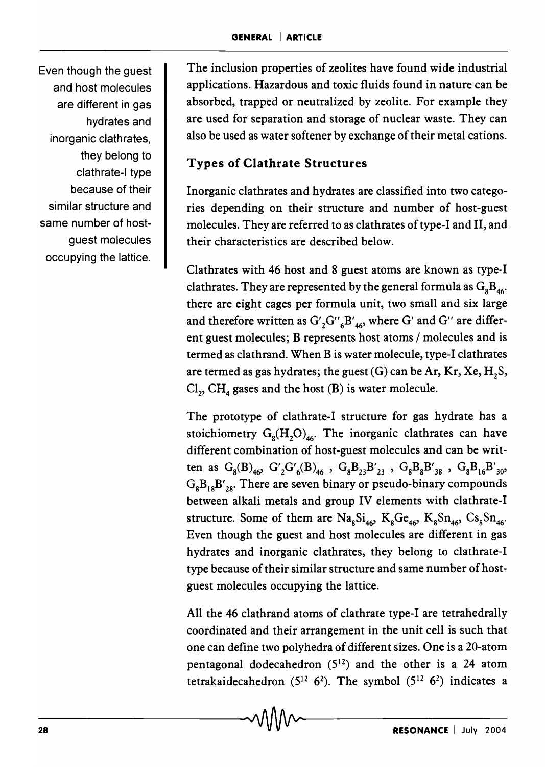Even though the guest and host molecules are different in gas hydrates and inorganic clathrates, they belong to clathrate-I type because of their similar structure and same number of hostguest molecules occupying the lattice.

The inclusion properties of zeolites have found wide industrial applications. Hazardous and toxic fluids found in nature can be absorbed, trapped or neutralized by zeolite. For example they are used for separation and storage of nuclear waste. They can also be used as water softener by exchange of their metal cations.

## Types of Clathrate Structures

Inorganic clathrates and hydrates are classified into two categories depending on their structure and number of host-guest molecules. They are referred to as clathrates of type-I and II, and their characteristics are described below.

Clathrates with 46 host and 8 guest atoms are known as type-I clathrates. They are represented by the general formula as  $G_8B_{46}$ . there are eight cages per formula unit, two small and six large and therefore written as  $G'_{2}G''_{6}B'_{46}$ , where G' and G'' are different guest molecules; B represents host atoms / molecules and is termed as clathrand. When B is water molecule, type-I clathrates are termed as gas hydrates; the guest  $(G)$  can be Ar, Kr, Xe, H<sub>2</sub>S,  $\text{Cl}_2$ ,  $\text{CH}_4$  gases and the host (B) is water molecule.

The prototype of clathrate-I structure for gas hydrate has a stoichiometry  $G_8(H_2O)_{46}$ . The inorganic clathrates can have different combination of host-guest molecules and can be written as  $G_8(B)_{46}$ ,  $G'_2G'_6(B)_{46}$ ,  $G_8B_{23}B'_{23}$ ,  $G_8B_8B'_{38}$ ,  $G_8B_{16}B'_{30}$ ,  $G_8B_{18}B'_{28}$ . There are seven binary or pseudo-binary compounds between alkali metals and group IV elements with clathrate-I structure. Some of them are  $\text{Na}_8\text{Si}_{46}$ ,  $\text{K}_8\text{Ge}_{46}$ ,  $\text{K}_8\text{Sn}_{46}$ ,  $\text{Cs}_8\text{Sn}_{46}$ . Even though the guest and host molecules are different in gas hydrates and inorganic clathrates, they belong to clathrate-I type because of their similar structure and same number of hostguest molecules occupying the lattice.

All the 46 clathrand atoms of clathrate type-I are tetrahedrally coordinated and their arrangement in the unit cell is such that one can define two polyhedra of different sizes. One is a 20-atom pentagonal dodecahedron  $(5^{12})$  and the other is a 24 atom tetrakaidecahedron ( $5^{12}$  6<sup>2</sup>). The symbol ( $5^{12}$  6<sup>2</sup>) indicates a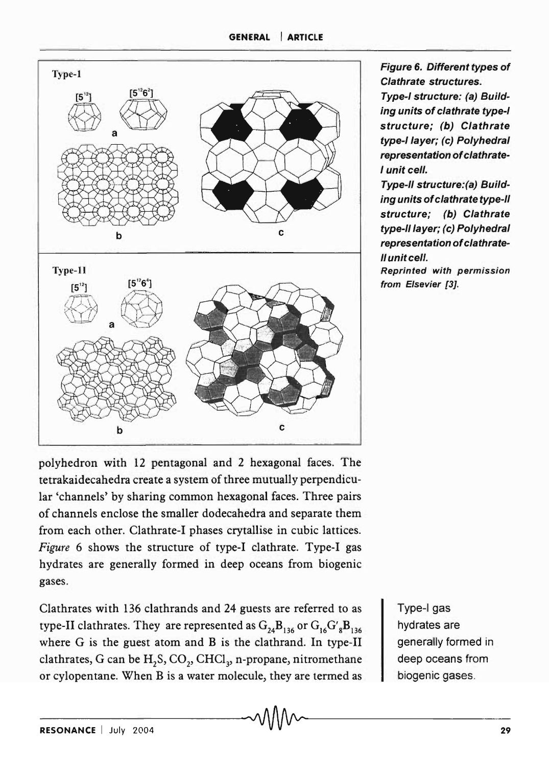

Figure 6. Different types of Clathrate structures.

Type-I structure: (a) Building units of clathrate type-I structure; (b) Clathrate type-I layer; (c) Polyhedral representation of clathrate-I unit cell.

Type-II structure:(a) Building units of clathrate type-II structure; (b) Clathrate type-II layer; (c) Polyhedral representation of clathrate-II unit cell.

Reprinted with permission from Elsevier [3].

polyhedron with 12 pentagonal and 2 hexagonal faces. The tetrakaidecahedra create a system of three mutually perpendicular 'channels' by sharing common hexagonal faces. Three pairs of channels enclose the smaller dodecahedra and separate them from each other. Clathrate-I phases crytallise in cubic lattices. *Figure* 6 shows the structure of type-I clathrate. Type-I gas hydrates are generally formed in deep oceans from biogenic gases.

Clathrates with 136 clathrands and 24 guests are referred to as type-II clathrates. They are represented as  $G_{24}B_{136}$  or  $G_{16}G'_{8}B_{136}$ where G is the guest atom and B is the clathrand. In type-II clathrates, G can be  $H_2S$ ,  $CO_2$ , CHCl<sub>3</sub>, n-propane, nitromethane or cylopentane. When B is a water molecule, they are termed as

Type-I gas hydrates are generally formed in deep oceans from biogenic gases.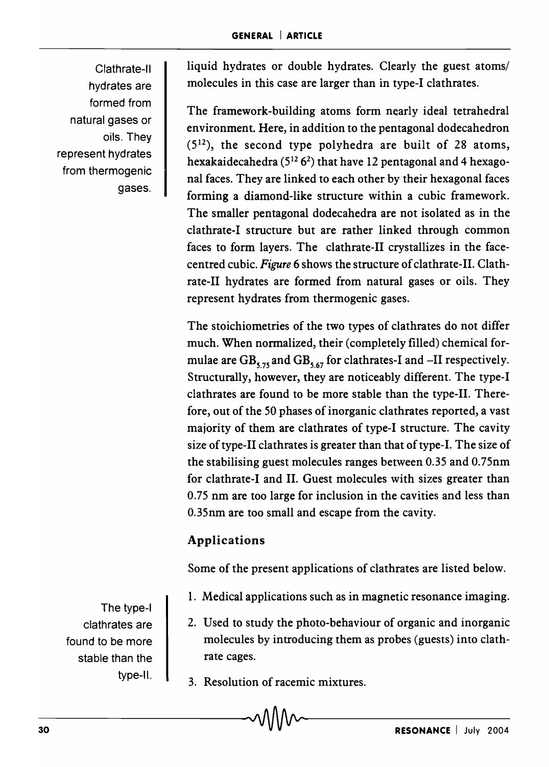Clathrate-II hydrates are formed from natural gases or oils. They represent hydrates from thermogenic gases.

liquid hydrates or double hydrates. Clearly the guest atoms/ molecules in this case are larger than in type-I clathrates.

The framework-building atoms form nearly ideal tetrahedral environment. Here, in addition to the pentagonal dodecahedron  $(5^{12})$ , the second type polyhedra are built of 28 atoms, hexakaidecahedra  $(5^{12} 6^2)$  that have 12 pentagonal and 4 hexagonal faces. They are linked to each other by their hexagonal faces forming a diamond-like structure within a cubic framework. The smaller pentagonal dodecahedra are not isolated as in the clathrate-I structure but are rather linked through common faces to form layers. The clathrate-II crystallizes in the facecentred cubic. *Figure* 6 shows the structure of clathrate-II. Clathrate-II hydrates are formed from natural gases or oils. They represent hydrates from thermogenic gases.

The stoichiometries of the two types of clathrates do not differ much. When normalized, their (completely filled) chemical formulae are  $\text{GB}_{5.75}$  and  $\text{GB}_{5.67}$  for clathrates-I and  $\text{--II}$  respectively. Structurally, however, they are noticeably different. The type-I clathrates are found to be more stable than the type-II. Therefore, out of the 50 phases of inorganic clathrates reported, a vast majority of them are clathrates of type-I structure. The cavity size of type-II clathrates is greater than that of type-I. The size of the stabilising guest molecules ranges between 0.35 and 0.75nm for clathrate-I and II. Guest molecules with sizes greater than 0.75 nm are too large for inclusion in the cavities and less than 0.35nm are too small and escape from the cavity.

## Applications

Some of the present applications of clathrates are listed below.

- 1. Medical applications such as in magnetic resonance imaging.
- 2. Used to study the photo-behaviour of organic and inorganic molecules by introducing them as probes (guests) into clathrate cages.
- 3. Resolution of racemic mixtures.

The type-I clathrates are found to be more stable than the type-II.